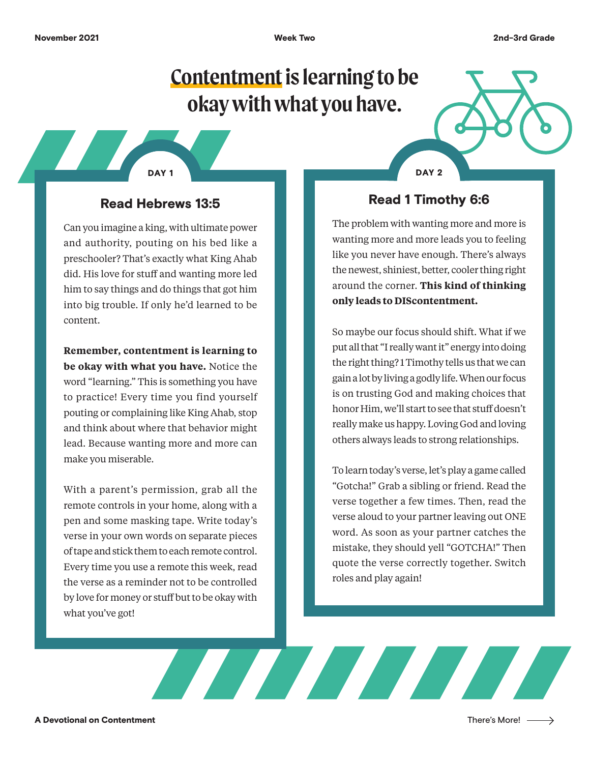# **Contentment is learning to be okay with what you have.**

DAY 1 DAY 2

### Read Hebrews 13:5

Can you imagine a king, with ultimate power and authority, pouting on his bed like a preschooler? That's exactly what King Ahab did. His love for stuff and wanting more led him to say things and do things that got him into big trouble. If only he'd learned to be content.

**Remember, contentment is learning to be okay with what you have.** Notice the word "learning." This is something you have to practice! Every time you find yourself pouting or complaining like King Ahab, stop and think about where that behavior might lead. Because wanting more and more can make you miserable.

With a parent's permission, grab all the remote controls in your home, along with a pen and some masking tape. Write today's verse in your own words on separate pieces of tape and stick them to each remote control. Every time you use a remote this week, read the verse as a reminder not to be controlled by love for money or stuff but to be okay with what you've got!

Read 1 Timothy 6:6

The problem with wanting more and more is wanting more and more leads you to feeling like you never have enough. There's always the newest, shiniest, better, cooler thing right around the corner. **This kind of thinking only leads to DIScontentment.** 

So maybe our focus should shift. What if we put all that "I really want it" energy into doing the right thing? 1 Timothy tells us that we can gain a lot by living a godly life. When our focus is on trusting God and making choices that honor Him, we'll start to see that stuff doesn't really make us happy. Loving God and loving others always leads to strong relationships.

To learn today's verse, let's play a game called "Gotcha!" Grab a sibling or friend. Read the verse together a few times. Then, read the verse aloud to your partner leaving out ONE word. As soon as your partner catches the mistake, they should yell "GOTCHA!" Then quote the verse correctly together. Switch roles and play again!

The Maria Maria Maria Maria Maria Maria Maria Maria Maria Maria Maria Maria Maria Maria Maria Maria Maria Mari

**A Devotional on Contentment** 

There's More!